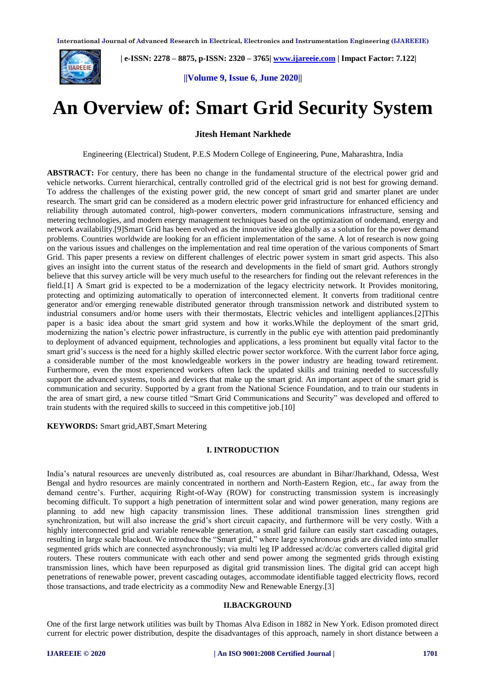

 **| e-ISSN: 2278 – 8875, p-ISSN: 2320 – 3765| [www.ijareeie.com](http://www.ijareeie.com/) | Impact Factor: 7.122|** 

**||Volume 9, Issue 6, June 2020||** 

# **An Overview of: Smart Grid Security System**

**Jitesh Hemant Narkhede**

Engineering (Electrical) Student, P.E.S Modern College of Engineering, Pune, Maharashtra, India

**ABSTRACT:** For century, there has been no change in the fundamental structure of the electrical power grid and vehicle networks. Current hierarchical, centrally controlled grid of the electrical grid is not best for growing demand. To address the challenges of the existing power grid, the new concept of smart grid and smarter planet are under research. The smart grid can be considered as a modern electric power grid infrastructure for enhanced efficiency and reliability through automated control, high-power converters, modern communications infrastructure, sensing and metering technologies, and modern energy management techniques based on the optimization of ondemand, energy and network availability.[9]Smart Grid has been evolved as the innovative idea globally as a solution for the power demand problems. Countries worldwide are looking for an efficient implementation of the same. A lot of research is now going on the various issues and challenges on the implementation and real time operation of the various components of Smart Grid. This paper presents a review on different challenges of electric power system in smart grid aspects. This also gives an insight into the current status of the research and developments in the field of smart grid. Authors strongly believe that this survey article will be very much useful to the researchers for finding out the relevant references in the field.[1] A Smart grid is expected to be a modernization of the legacy electricity network. It Provides monitoring, protecting and optimizing automatically to operation of interconnected element. It converts from traditional centre generator and/or emerging renewable distributed generator through transmission network and distributed system to industrial consumers and/or home users with their thermostats, Electric vehicles and intelligent appliances.[2]This paper is a basic idea about the smart grid system and how it works.While the deployment of the smart grid, modernizing the nation's electric power infrastructure, is currently in the public eye with attention paid predominantly to deployment of advanced equipment, technologies and applications, a less prominent but equally vital factor to the smart grid's success is the need for a highly skilled electric power sector workforce. With the current labor force aging, a considerable number of the most knowledgeable workers in the power industry are heading toward retirement. Furthermore, even the most experienced workers often lack the updated skills and training needed to successfully support the advanced systems, tools and devices that make up the smart grid. An important aspect of the smart grid is communication and security. Supported by a grant from the National Science Foundation, and to train our students in the area of smart gird, a new course titled "Smart Grid Communications and Security" was developed and offered to train students with the required skills to succeed in this competitive job.[10]

**KEYWORDS:** Smart grid,ABT,Smart Metering

#### **I. INTRODUCTION**

India's natural resources are unevenly distributed as, coal resources are abundant in Bihar/Jharkhand, Odessa, West Bengal and hydro resources are mainly concentrated in northern and North-Eastern Region, etc., far away from the demand centre's. Further, acquiring Right-of-Way (ROW) for constructing transmission system is increasingly becoming difficult. To support a high penetration of intermittent solar and wind power generation, many regions are planning to add new high capacity transmission lines. These additional transmission lines strengthen grid synchronization, but will also increase the grid's short circuit capacity, and furthermore will be very costly. With a highly interconnected grid and variable renewable generation, a small grid failure can easily start cascading outages, resulting in large scale blackout. We introduce the "Smart grid," where large synchronous grids are divided into smaller segmented grids which are connected asynchronously; via multi leg IP addressed ac/dc/ac converters called digital grid routers. These routers communicate with each other and send power among the segmented grids through existing transmission lines, which have been repurposed as digital grid transmission lines. The digital grid can accept high penetrations of renewable power, prevent cascading outages, accommodate identifiable tagged electricity flows, record those transactions, and trade electricity as a commodity New and Renewable Energy.[3]

#### **II.BACKGROUND**

One of the first large network utilities was built by Thomas Alva Edison in 1882 in New York. Edison promoted direct current for electric power distribution, despite the disadvantages of this approach, namely in short distance between a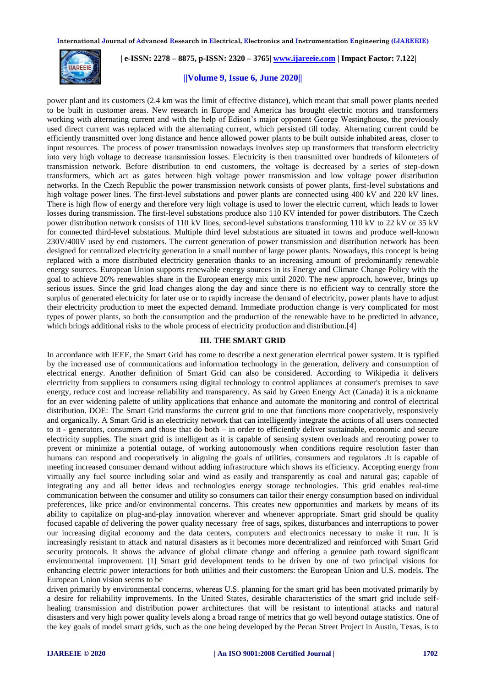

 **| e-ISSN: 2278 – 8875, p-ISSN: 2320 – 3765| [www.ijareeie.com](http://www.ijareeie.com/) | Impact Factor: 7.122|** 

# **||Volume 9, Issue 6, June 2020||**

power plant and its customers (2.4 km was the limit of effective distance), which meant that small power plants needed to be built in customer areas. New research in Europe and America has brought electric motors and transformers working with alternating current and with the help of Edison's major opponent George Westinghouse, the previously used direct current was replaced with the alternating current, which persisted till today. Alternating current could be efficiently transmitted over long distance and hence allowed power plants to be built outside inhabited areas, closer to input resources. The process of power transmission nowadays involves step up transformers that transform electricity into very high voltage to decrease transmission losses. Electricity is then transmitted over hundreds of kilometers of transmission network. Before distribution to end customers, the voltage is decreased by a series of step-down transformers, which act as gates between high voltage power transmission and low voltage power distribution networks. In the Czech Republic the power transmission network consists of power plants, first-level substations and high voltage power lines. The first-level substations and power plants are connected using 400 kV and 220 kV lines. There is high flow of energy and therefore very high voltage is used to lower the electric current, which leads to lower losses during transmission. The first-level substations produce also 110 KV intended for power distributors. The Czech power distribution network consists of 110 kV lines, second-level substations transforming 110 kV to 22 kV or 35 kV for connected third-level substations. Multiple third level substations are situated in towns and produce well-known 230V/400V used by end customers. The current generation of power transmission and distribution network has been designed for centralized electricity generation in a small number of large power plants. Nowadays, this concept is being replaced with a more distributed electricity generation thanks to an increasing amount of predominantly renewable energy sources. European Union supports renewable energy sources in its Energy and Climate Change Policy with the goal to achieve 20% renewables share in the European energy mix until 2020. The new approach, however, brings up serious issues. Since the grid load changes along the day and since there is no efficient way to centrally store the surplus of generated electricity for later use or to rapidly increase the demand of electricity, power plants have to adjust their electricity production to meet the expected demand. Immediate production change is very complicated for most types of power plants, so both the consumption and the production of the renewable have to be predicted in advance, which brings additional risks to the whole process of electricity production and distribution.[4]

#### **III. THE SMART GRID**

In accordance with IEEE, the Smart Grid has come to describe a next generation electrical power system. It is typified by the increased use of communications and information technology in the generation, delivery and consumption of electrical energy. Another definition of Smart Grid can also be considered. According to Wikipedia it delivers electricity from suppliers to consumers using digital technology to control appliances at consumer's premises to save energy, reduce cost and increase reliability and transparency. As said by Green Energy Act (Canada) it is a nickname for an ever widening palette of utility applications that enhance and automate the monitoring and control of electrical distribution. DOE: The Smart Grid transforms the current grid to one that functions more cooperatively, responsively and organically. A Smart Grid is an electricity network that can intelligently integrate the actions of all users connected to it - generators, consumers and those that do both – in order to efficiently deliver sustainable, economic and secure electricity supplies. The smart grid is intelligent as it is capable of sensing system overloads and rerouting power to prevent or minimize a potential outage, of working autonomously when conditions require resolution faster than humans can respond and cooperatively in aligning the goals of utilities, consumers and regulators .It is capable of meeting increased consumer demand without adding infrastructure which shows its efficiency. Accepting energy from virtually any fuel source including solar and wind as easily and transparently as coal and natural gas; capable of integrating any and all better ideas and technologies energy storage technologies. This grid enables real-time communication between the consumer and utility so consumers can tailor their energy consumption based on individual preferences, like price and/or environmental concerns. This creates new opportunities and markets by means of its ability to capitalize on plug-and-play innovation wherever and whenever appropriate. Smart grid should be quality focused capable of delivering the power quality necessary free of sags, spikes, disturbances and interruptions to power our increasing digital economy and the data centers, computers and electronics necessary to make it run. It is increasingly resistant to attack and natural disasters as it becomes more decentralized and reinforced with Smart Grid security protocols. It shows the advance of global climate change and offering a genuine path toward significant environmental improvement. [1] Smart grid development tends to be driven by one of two principal visions for enhancing electric power interactions for both utilities and their customers: the European Union and U.S. models. The European Union vision seems to be

driven primarily by environmental concerns, whereas U.S. planning for the smart grid has been motivated primarily by a desire for reliability improvements. In the United States, desirable characteristics of the smart grid include selfhealing transmission and distribution power architectures that will be resistant to intentional attacks and natural disasters and very high power quality levels along a broad range of metrics that go well beyond outage statistics. One of the key goals of model smart grids, such as the one being developed by the Pecan Street Project in Austin, Texas, is to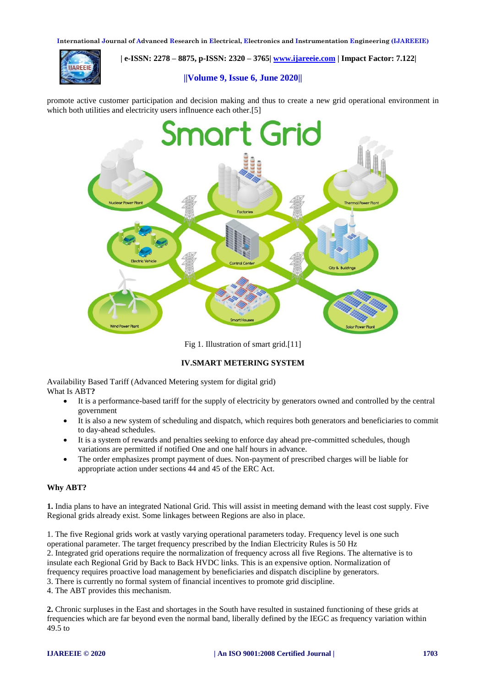

 **| e-ISSN: 2278 – 8875, p-ISSN: 2320 – 3765| [www.ijareeie.com](http://www.ijareeie.com/) | Impact Factor: 7.122|** 

## **||Volume 9, Issue 6, June 2020||**

promote active customer participation and decision making and thus to create a new grid operational environment in which both utilities and electricity users inflnuence each other.<sup>[5]</sup>



Fig 1. Illustration of smart grid.[11]

# **IV.SMART METERING SYSTEM**

Availability Based Tariff (Advanced Metering system for digital grid) What Is ABT**?**

- It is a performance-based tariff for the supply of electricity by generators owned and controlled by the central government
- It is also a new system of scheduling and dispatch, which requires both generators and beneficiaries to commit to day-ahead schedules.
- It is a system of rewards and penalties seeking to enforce day ahead pre-committed schedules, though variations are permitted if notified One and one half hours in advance.
- The order emphasizes prompt payment of dues. Non-payment of prescribed charges will be liable for appropriate action under sections 44 and 45 of the ERC Act.

# **Why ABT?**

**1.** India plans to have an integrated National Grid. This will assist in meeting demand with the least cost supply. Five Regional grids already exist. Some linkages between Regions are also in place.

1. The five Regional grids work at vastly varying operational parameters today. Frequency level is one such operational parameter. The target frequency prescribed by the Indian Electricity Rules is 50 Hz 2. Integrated grid operations require the normalization of frequency across all five Regions. The alternative is to insulate each Regional Grid by Back to Back HVDC links. This is an expensive option. Normalization of frequency requires proactive load management by beneficiaries and dispatch discipline by generators. 3. There is currently no formal system of financial incentives to promote grid discipline.

4. The ABT provides this mechanism.

**2.** Chronic surpluses in the East and shortages in the South have resulted in sustained functioning of these grids at frequencies which are far beyond even the normal band, liberally defined by the IEGC as frequency variation within  $49.5$  to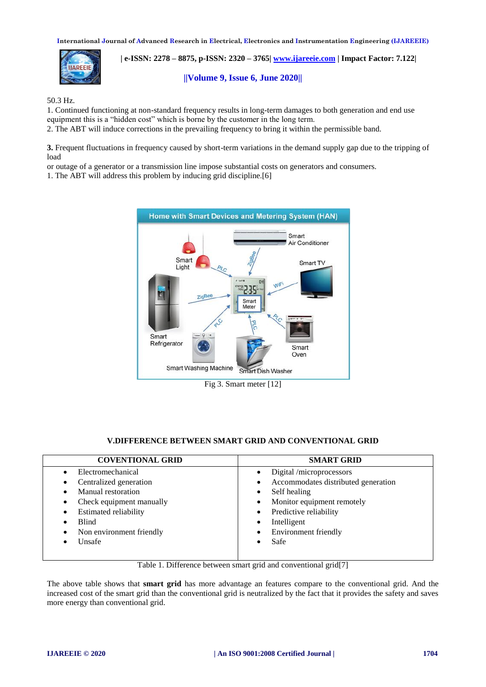

 **| e-ISSN: 2278 – 8875, p-ISSN: 2320 – 3765| [www.ijareeie.com](http://www.ijareeie.com/) | Impact Factor: 7.122|** 

**||Volume 9, Issue 6, June 2020||** 

50.3 Hz.

1. Continued functioning at non-standard frequency results in long-term damages to both generation and end use equipment this is a "hidden cost" which is borne by the customer in the long term.

2. The ABT will induce corrections in the prevailing frequency to bring it within the permissible band.

**3.** Frequent fluctuations in frequency caused by short-term variations in the demand supply gap due to the tripping of load

or outage of a generator or a transmission line impose substantial costs on generators and consumers.

1. The ABT will address this problem by inducing grid discipline.[6]



# **V.DIFFERENCE BETWEEN SMART GRID AND CONVENTIONAL GRID**

| <b>COVENTIONAL GRID</b>             | <b>SMART GRID</b>                     |
|-------------------------------------|---------------------------------------|
| Electromechanical                   | Digital /microprocessors<br>$\bullet$ |
| Centralized generation<br>$\bullet$ | Accommodates distributed generation   |
| Manual restoration                  | Self healing<br>$\bullet$             |
| Check equipment manually<br>٠       | Monitor equipment remotely            |
| <b>Estimated reliability</b><br>٠   | Predictive reliability<br>$\bullet$   |
| <b>Blind</b>                        | Intelligent<br>٠                      |
| Non environment friendly            | Environment friendly                  |
| Unsafe                              | Safe<br>٠                             |

Table 1. Difference between smart grid and conventional grid[7]

The above table shows that **smart grid** has more advantage an features compare to the conventional grid. And the increased cost of the smart grid than the conventional grid is neutralized by the fact that it provides the safety and saves more energy than conventional grid.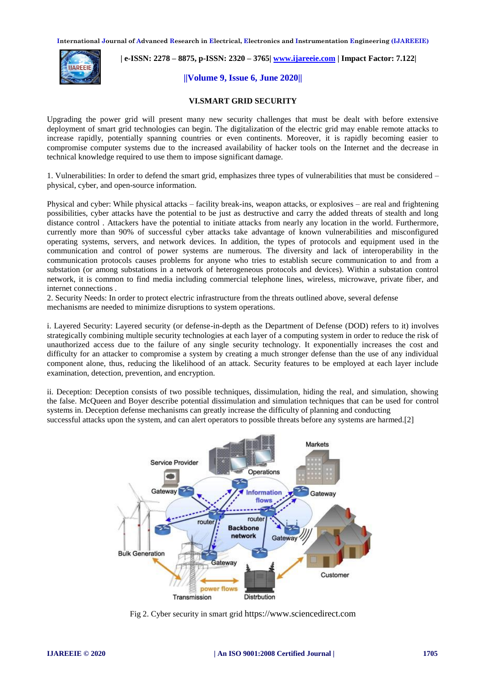

 **| e-ISSN: 2278 – 8875, p-ISSN: 2320 – 3765| [www.ijareeie.com](http://www.ijareeie.com/) | Impact Factor: 7.122|** 

# **||Volume 9, Issue 6, June 2020||**

#### **VI.SMART GRID SECURITY**

Upgrading the power grid will present many new security challenges that must be dealt with before extensive deployment of smart grid technologies can begin. The digitalization of the electric grid may enable remote attacks to increase rapidly, potentially spanning countries or even continents. Moreover, it is rapidly becoming easier to compromise computer systems due to the increased availability of hacker tools on the Internet and the decrease in technical knowledge required to use them to impose significant damage.

1. Vulnerabilities: In order to defend the smart grid, emphasizes three types of vulnerabilities that must be considered – physical, cyber, and open-source information.

Physical and cyber: While physical attacks – facility break-ins, weapon attacks, or explosives – are real and frightening possibilities, cyber attacks have the potential to be just as destructive and carry the added threats of stealth and long distance control . Attackers have the potential to initiate attacks from nearly any location in the world. Furthermore, currently more than 90% of successful cyber attacks take advantage of known vulnerabilities and misconfigured operating systems, servers, and network devices. In addition, the types of protocols and equipment used in the communication and control of power systems are numerous. The diversity and lack of interoperability in the communication protocols causes problems for anyone who tries to establish secure communication to and from a substation (or among substations in a network of heterogeneous protocols and devices). Within a substation control network, it is common to find media including commercial telephone lines, wireless, microwave, private fiber, and internet connections .

2. Security Needs: In order to protect electric infrastructure from the threats outlined above, several defense mechanisms are needed to minimize disruptions to system operations.

i. Layered Security: Layered security (or defense-in-depth as the Department of Defense (DOD) refers to it) involves strategically combining multiple security technologies at each layer of a computing system in order to reduce the risk of unauthorized access due to the failure of any single security technology. It exponentially increases the cost and difficulty for an attacker to compromise a system by creating a much stronger defense than the use of any individual component alone, thus, reducing the likelihood of an attack. Security features to be employed at each layer include examination, detection, prevention, and encryption.

ii. Deception: Deception consists of two possible techniques, dissimulation, hiding the real, and simulation, showing the false. McQueen and Boyer describe potential dissimulation and simulation techniques that can be used for control systems in. Deception defense mechanisms can greatly increase the difficulty of planning and conducting successful attacks upon the system, and can alert operators to possible threats before any systems are harmed.[2]



Fig 2. Cyber security in smart grid https://www.sciencedirect.com